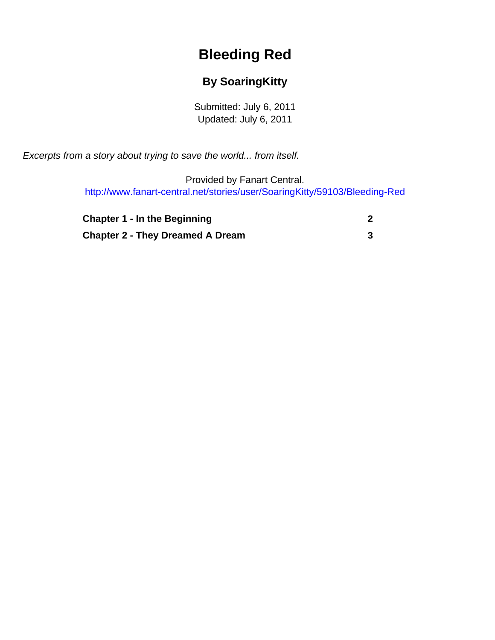## **Bleeding Red**

## **By SoaringKitty**

Submitted: July 6, 2011 Updated: July 6, 2011

<span id="page-0-0"></span>Excerpts from a story about trying to save the world... from itself.

Provided by Fanart Central. [http://www.fanart-central.net/stories/user/SoaringKitty/59103/Bleeding-Red](#page-0-0)

| <b>Chapter 1 - In the Beginning</b>     |  |
|-----------------------------------------|--|
| <b>Chapter 2 - They Dreamed A Dream</b> |  |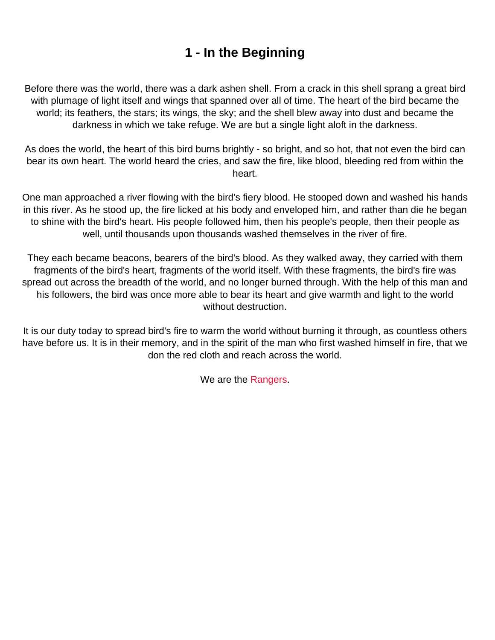## **1 - In the Beginning**

<span id="page-1-0"></span>Before there was the world, there was a dark ashen shell. From a crack in this shell sprang a great bird with plumage of light itself and wings that spanned over all of time. The heart of the bird became the world; its feathers, the stars; its wings, the sky; and the shell blew away into dust and became the darkness in which we take refuge. We are but a single light aloft in the darkness.

As does the world, the heart of this bird burns brightly - so bright, and so hot, that not even the bird can bear its own heart. The world heard the cries, and saw the fire, like blood, bleeding red from within the heart.

One man approached a river flowing with the bird's fiery blood. He stooped down and washed his hands in this river. As he stood up, the fire licked at his body and enveloped him, and rather than die he began to shine with the bird's heart. His people followed him, then his people's people, then their people as well, until thousands upon thousands washed themselves in the river of fire.

They each became beacons, bearers of the bird's blood. As they walked away, they carried with them fragments of the bird's heart, fragments of the world itself. With these fragments, the bird's fire was spread out across the breadth of the world, and no longer burned through. With the help of this man and his followers, the bird was once more able to bear its heart and give warmth and light to the world without destruction.

It is our duty today to spread bird's fire to warm the world without burning it through, as countless others have before us. It is in their memory, and in the spirit of the man who first washed himself in fire, that we don the red cloth and reach across the world.

We are the Rangers.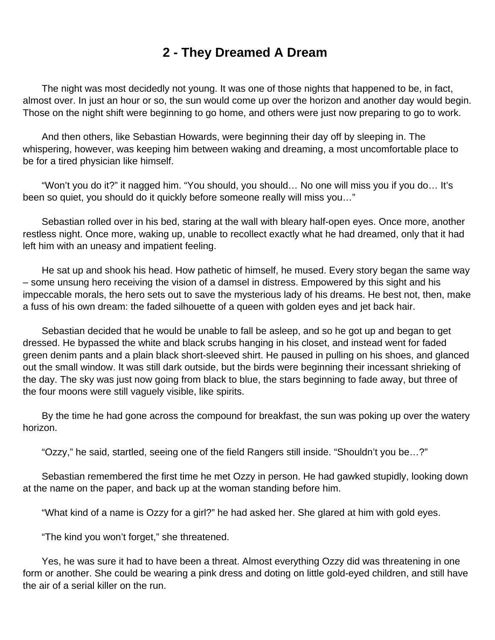## **2 - They Dreamed A Dream**

<span id="page-2-0"></span> The night was most decidedly not young. It was one of those nights that happened to be, in fact, almost over. In just an hour or so, the sun would come up over the horizon and another day would begin. Those on the night shift were beginning to go home, and others were just now preparing to go to work.

 And then others, like Sebastian Howards, were beginning their day off by sleeping in. The whispering, however, was keeping him between waking and dreaming, a most uncomfortable place to be for a tired physician like himself.

 "Won't you do it?" it nagged him. "You should, you should… No one will miss you if you do… It's been so quiet, you should do it quickly before someone really will miss you…"

 Sebastian rolled over in his bed, staring at the wall with bleary half-open eyes. Once more, another restless night. Once more, waking up, unable to recollect exactly what he had dreamed, only that it had left him with an uneasy and impatient feeling.

 He sat up and shook his head. How pathetic of himself, he mused. Every story began the same way – some unsung hero receiving the vision of a damsel in distress. Empowered by this sight and his impeccable morals, the hero sets out to save the mysterious lady of his dreams. He best not, then, make a fuss of his own dream: the faded silhouette of a queen with golden eyes and jet back hair.

 Sebastian decided that he would be unable to fall be asleep, and so he got up and began to get dressed. He bypassed the white and black scrubs hanging in his closet, and instead went for faded green denim pants and a plain black short-sleeved shirt. He paused in pulling on his shoes, and glanced out the small window. It was still dark outside, but the birds were beginning their incessant shrieking of the day. The sky was just now going from black to blue, the stars beginning to fade away, but three of the four moons were still vaguely visible, like spirits.

 By the time he had gone across the compound for breakfast, the sun was poking up over the watery horizon.

"Ozzy," he said, startled, seeing one of the field Rangers still inside. "Shouldn't you be…?"

 Sebastian remembered the first time he met Ozzy in person. He had gawked stupidly, looking down at the name on the paper, and back up at the woman standing before him.

"What kind of a name is Ozzy for a girl?" he had asked her. She glared at him with gold eyes.

"The kind you won't forget," she threatened.

 Yes, he was sure it had to have been a threat. Almost everything Ozzy did was threatening in one form or another. She could be wearing a pink dress and doting on little gold-eyed children, and still have the air of a serial killer on the run.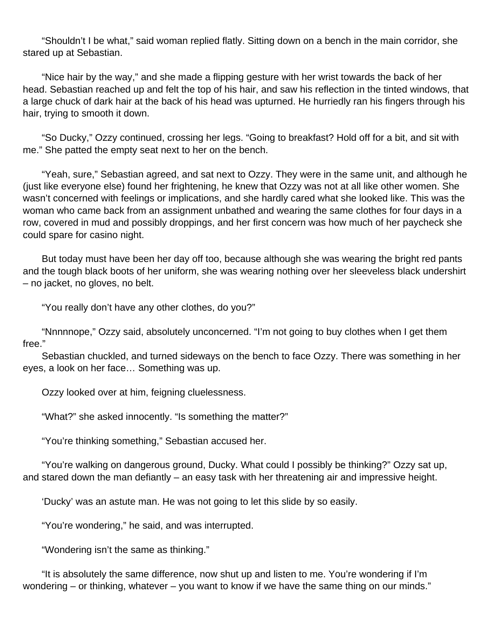"Shouldn't I be what," said woman replied flatly. Sitting down on a bench in the main corridor, she stared up at Sebastian.

 "Nice hair by the way," and she made a flipping gesture with her wrist towards the back of her head. Sebastian reached up and felt the top of his hair, and saw his reflection in the tinted windows, that a large chuck of dark hair at the back of his head was upturned. He hurriedly ran his fingers through his hair, trying to smooth it down.

 "So Ducky," Ozzy continued, crossing her legs. "Going to breakfast? Hold off for a bit, and sit with me." She patted the empty seat next to her on the bench.

 "Yeah, sure," Sebastian agreed, and sat next to Ozzy. They were in the same unit, and although he (just like everyone else) found her frightening, he knew that Ozzy was not at all like other women. She wasn't concerned with feelings or implications, and she hardly cared what she looked like. This was the woman who came back from an assignment unbathed and wearing the same clothes for four days in a row, covered in mud and possibly droppings, and her first concern was how much of her paycheck she could spare for casino night.

 But today must have been her day off too, because although she was wearing the bright red pants and the tough black boots of her uniform, she was wearing nothing over her sleeveless black undershirt – no jacket, no gloves, no belt.

"You really don't have any other clothes, do you?"

 "Nnnnnope," Ozzy said, absolutely unconcerned. "I'm not going to buy clothes when I get them free."

 Sebastian chuckled, and turned sideways on the bench to face Ozzy. There was something in her eyes, a look on her face… Something was up.

Ozzy looked over at him, feigning cluelessness.

"What?" she asked innocently. "Is something the matter?"

"You're thinking something," Sebastian accused her.

 "You're walking on dangerous ground, Ducky. What could I possibly be thinking?" Ozzy sat up, and stared down the man defiantly – an easy task with her threatening air and impressive height.

'Ducky' was an astute man. He was not going to let this slide by so easily.

"You're wondering," he said, and was interrupted.

"Wondering isn't the same as thinking."

 "It is absolutely the same difference, now shut up and listen to me. You're wondering if I'm wondering – or thinking, whatever – you want to know if we have the same thing on our minds."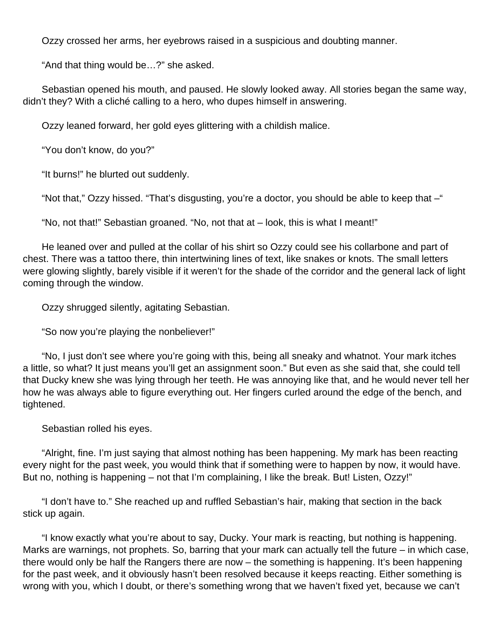Ozzy crossed her arms, her eyebrows raised in a suspicious and doubting manner.

"And that thing would be…?" she asked.

 Sebastian opened his mouth, and paused. He slowly looked away. All stories began the same way, didn't they? With a cliché calling to a hero, who dupes himself in answering.

Ozzy leaned forward, her gold eyes glittering with a childish malice.

"You don't know, do you?"

"It burns!" he blurted out suddenly.

"Not that," Ozzy hissed. "That's disgusting, you're a doctor, you should be able to keep that –"

"No, not that!" Sebastian groaned. "No, not that at – look, this is what I meant!"

 He leaned over and pulled at the collar of his shirt so Ozzy could see his collarbone and part of chest. There was a tattoo there, thin intertwining lines of text, like snakes or knots. The small letters were glowing slightly, barely visible if it weren't for the shade of the corridor and the general lack of light coming through the window.

Ozzy shrugged silently, agitating Sebastian.

"So now you're playing the nonbeliever!"

 "No, I just don't see where you're going with this, being all sneaky and whatnot. Your mark itches a little, so what? It just means you'll get an assignment soon." But even as she said that, she could tell that Ducky knew she was lying through her teeth. He was annoying like that, and he would never tell her how he was always able to figure everything out. Her fingers curled around the edge of the bench, and tightened.

Sebastian rolled his eyes.

 "Alright, fine. I'm just saying that almost nothing has been happening. My mark has been reacting every night for the past week, you would think that if something were to happen by now, it would have. But no, nothing is happening – not that I'm complaining, I like the break. But! Listen, Ozzy!"

 "I don't have to." She reached up and ruffled Sebastian's hair, making that section in the back stick up again.

 "I know exactly what you're about to say, Ducky. Your mark is reacting, but nothing is happening. Marks are warnings, not prophets. So, barring that your mark can actually tell the future – in which case, there would only be half the Rangers there are now – the something is happening. It's been happening for the past week, and it obviously hasn't been resolved because it keeps reacting. Either something is wrong with you, which I doubt, or there's something wrong that we haven't fixed yet, because we can't